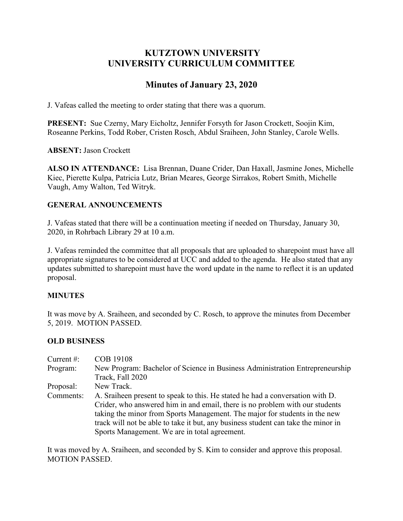# **KUTZTOWN UNIVERSITY UNIVERSITY CURRICULUM COMMITTEE**

# **Minutes of January 23, 2020**

J. Vafeas called the meeting to order stating that there was a quorum.

**PRESENT:** Sue Czerny, Mary Eicholtz, Jennifer Forsyth for Jason Crockett, Soojin Kim, Roseanne Perkins, Todd Rober, Cristen Rosch, Abdul Sraiheen, John Stanley, Carole Wells.

**ABSENT:** Jason Crockett

**ALSO IN ATTENDANCE:** Lisa Brennan, Duane Crider, Dan Haxall, Jasmine Jones, Michelle Kiec, Pierette Kulpa, Patricia Lutz, Brian Meares, George Sirrakos, Robert Smith, Michelle Vaugh, Amy Walton, Ted Witryk.

# **GENERAL ANNOUNCEMENTS**

J. Vafeas stated that there will be a continuation meeting if needed on Thursday, January 30, 2020, in Rohrbach Library 29 at 10 a.m.

J. Vafeas reminded the committee that all proposals that are uploaded to sharepoint must have all appropriate signatures to be considered at UCC and added to the agenda. He also stated that any updates submitted to sharepoint must have the word update in the name to reflect it is an updated proposal.

# **MINUTES**

It was move by A. Sraiheen, and seconded by C. Rosch, to approve the minutes from December 5, 2019. MOTION PASSED.

# **OLD BUSINESS**

| Current $#$ : | <b>COB 19108</b>                                                                  |  |  |  |
|---------------|-----------------------------------------------------------------------------------|--|--|--|
| Program:      | New Program: Bachelor of Science in Business Administration Entrepreneurship      |  |  |  |
|               | Track, Fall 2020                                                                  |  |  |  |
| Proposal:     | New Track.                                                                        |  |  |  |
| Comments:     | A. Sraiheen present to speak to this. He stated he had a conversation with D.     |  |  |  |
|               | Crider, who answered him in and email, there is no problem with our students      |  |  |  |
|               | taking the minor from Sports Management. The major for students in the new        |  |  |  |
|               | track will not be able to take it but, any business student can take the minor in |  |  |  |
|               | Sports Management. We are in total agreement.                                     |  |  |  |

It was moved by A. Sraiheen, and seconded by S. Kim to consider and approve this proposal. MOTION PASSED.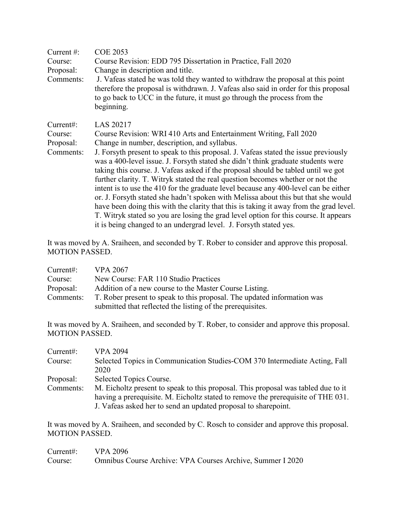| Current $\#$ :                                                                                                                                                                                                                                                                | <b>COE 2053</b>                                                                                                                                                                                                                                                                                                                                                                                                                         |  |  |  |
|-------------------------------------------------------------------------------------------------------------------------------------------------------------------------------------------------------------------------------------------------------------------------------|-----------------------------------------------------------------------------------------------------------------------------------------------------------------------------------------------------------------------------------------------------------------------------------------------------------------------------------------------------------------------------------------------------------------------------------------|--|--|--|
| Course:                                                                                                                                                                                                                                                                       | Course Revision: EDD 795 Dissertation in Practice, Fall 2020                                                                                                                                                                                                                                                                                                                                                                            |  |  |  |
| Proposal:                                                                                                                                                                                                                                                                     | Change in description and title.                                                                                                                                                                                                                                                                                                                                                                                                        |  |  |  |
| J. Vafeas stated he was told they wanted to withdraw the proposal at this point<br>Comments:<br>therefore the proposal is withdrawn. J. Vafeas also said in order for this proposal<br>to go back to UCC in the future, it must go through the process from the<br>beginning. |                                                                                                                                                                                                                                                                                                                                                                                                                                         |  |  |  |
| LAS 20217<br>Current:                                                                                                                                                                                                                                                         |                                                                                                                                                                                                                                                                                                                                                                                                                                         |  |  |  |
| Course:                                                                                                                                                                                                                                                                       | Course Revision: WRI 410 Arts and Entertainment Writing, Fall 2020                                                                                                                                                                                                                                                                                                                                                                      |  |  |  |
| Proposal:                                                                                                                                                                                                                                                                     | Change in number, description, and syllabus.                                                                                                                                                                                                                                                                                                                                                                                            |  |  |  |
| Comments:                                                                                                                                                                                                                                                                     | J. For syth present to speak to this proposal. J. Vafeas stated the issue previously<br>was a 400-level issue. J. For syth stated she didn't think graduate students were<br>taking this course. J. Vafeas asked if the proposal should be tabled until we got<br>further clarity. T. Witryk stated the real question becomes whether or not the<br>intent is to use the 410 for the graduate level because any 400-level can be either |  |  |  |
|                                                                                                                                                                                                                                                                               | or. J. Forsyth stated she hadn't spoken with Melissa about this but that she would                                                                                                                                                                                                                                                                                                                                                      |  |  |  |
|                                                                                                                                                                                                                                                                               | have been doing this with the clarity that this is taking it away from the grad level.                                                                                                                                                                                                                                                                                                                                                  |  |  |  |
|                                                                                                                                                                                                                                                                               | T. Witryk stated so you are losing the grad level option for this course. It appears                                                                                                                                                                                                                                                                                                                                                    |  |  |  |
|                                                                                                                                                                                                                                                                               | it is being changed to an undergrad level. J. Forsyth stated yes.                                                                                                                                                                                                                                                                                                                                                                       |  |  |  |

It was moved by A. Sraiheen, and seconded by T. Rober to consider and approve this proposal. MOTION PASSED.

| Current:  | <b>VPA 2067</b>                                                         |  |  |
|-----------|-------------------------------------------------------------------------|--|--|
| Course:   | New Course: FAR 110 Studio Practices                                    |  |  |
| Proposal: | Addition of a new course to the Master Course Listing.                  |  |  |
| Comments: | T. Rober present to speak to this proposal. The updated information was |  |  |
|           | submitted that reflected the listing of the prerequisites.              |  |  |

It was moved by A. Sraiheen, and seconded by T. Rober, to consider and approve this proposal. MOTION PASSED.

| Current:  | <b>VPA 2094</b>                                                                                                                                                                                                                         |  |  |  |
|-----------|-----------------------------------------------------------------------------------------------------------------------------------------------------------------------------------------------------------------------------------------|--|--|--|
| Course:   | Selected Topics in Communication Studies-COM 370 Intermediate Acting, Fall                                                                                                                                                              |  |  |  |
|           | 2020                                                                                                                                                                                                                                    |  |  |  |
| Proposal: | Selected Topics Course.                                                                                                                                                                                                                 |  |  |  |
| Comments: | M. Eicholtz present to speak to this proposal. This proposal was tabled due to it<br>having a prerequisite. M. Eicholtz stated to remove the prerequisite of THE 031.<br>J. Vafeas asked her to send an updated proposal to sharepoint. |  |  |  |

It was moved by A. Sraiheen, and seconded by C. Rosch to consider and approve this proposal. MOTION PASSED.

| Current#: $VPA 2096$ |                                                            |
|----------------------|------------------------------------------------------------|
| Course:              | Omnibus Course Archive: VPA Courses Archive, Summer I 2020 |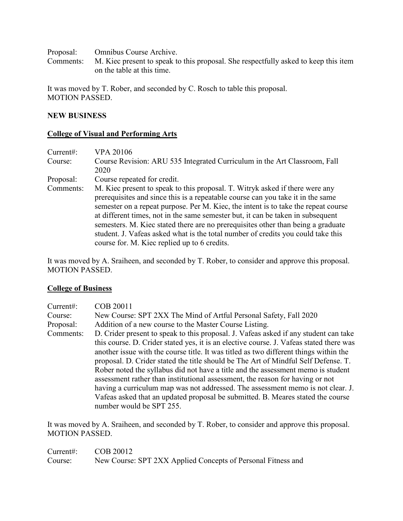Proposal: Omnibus Course Archive.

Comments: M. Kiec present to speak to this proposal. She respectfully asked to keep this item on the table at this time.

It was moved by T. Rober, and seconded by C. Rosch to table this proposal. MOTION PASSED.

#### **NEW BUSINESS**

#### **College of Visual and Performing Arts**

| Current:  | <b>VPA 20106</b>                                                                                                                                                                                                                                                                                                                                                                                                                                                                                                                                                 |  |  |
|-----------|------------------------------------------------------------------------------------------------------------------------------------------------------------------------------------------------------------------------------------------------------------------------------------------------------------------------------------------------------------------------------------------------------------------------------------------------------------------------------------------------------------------------------------------------------------------|--|--|
| Course:   | Course Revision: ARU 535 Integrated Curriculum in the Art Classroom, Fall                                                                                                                                                                                                                                                                                                                                                                                                                                                                                        |  |  |
|           | 2020                                                                                                                                                                                                                                                                                                                                                                                                                                                                                                                                                             |  |  |
| Proposal: | Course repeated for credit.                                                                                                                                                                                                                                                                                                                                                                                                                                                                                                                                      |  |  |
| Comments: | M. Kiec present to speak to this proposal. T. Witryk asked if there were any<br>prerequisites and since this is a repeatable course can you take it in the same<br>semester on a repeat purpose. Per M. Kiec, the intent is to take the repeat course<br>at different times, not in the same semester but, it can be taken in subsequent<br>semesters. M. Kiec stated there are no prerequisites other than being a graduate<br>student. J. Vafeas asked what is the total number of credits you could take this<br>course for. M. Kiec replied up to 6 credits. |  |  |

It was moved by A. Sraiheen, and seconded by T. Rober, to consider and approve this proposal. MOTION PASSED.

#### **College of Business**

| Current#: | COB 20011                                                                               |  |  |  |
|-----------|-----------------------------------------------------------------------------------------|--|--|--|
| Course:   | New Course: SPT 2XX The Mind of Artful Personal Safety, Fall 2020                       |  |  |  |
| Proposal: | Addition of a new course to the Master Course Listing.                                  |  |  |  |
| Comments: | D. Crider present to speak to this proposal. J. Vafeas asked if any student can take    |  |  |  |
|           | this course. D. Crider stated yes, it is an elective course. J. Vafeas stated there was |  |  |  |
|           | another issue with the course title. It was titled as two different things within the   |  |  |  |
|           | proposal. D. Crider stated the title should be The Art of Mindful Self Defense. T.      |  |  |  |
|           | Rober noted the syllabus did not have a title and the assessment memo is student        |  |  |  |
|           | assessment rather than institutional assessment, the reason for having or not           |  |  |  |
|           | having a curriculum map was not addressed. The assessment memo is not clear. J.         |  |  |  |
|           | Vafeas asked that an updated proposal be submitted. B. Meares stated the course         |  |  |  |
|           | number would be SPT 255.                                                                |  |  |  |

It was moved by A. Sraiheen, and seconded by T. Rober, to consider and approve this proposal. MOTION PASSED.

Current#: COB 20012 Course: New Course: SPT 2XX Applied Concepts of Personal Fitness and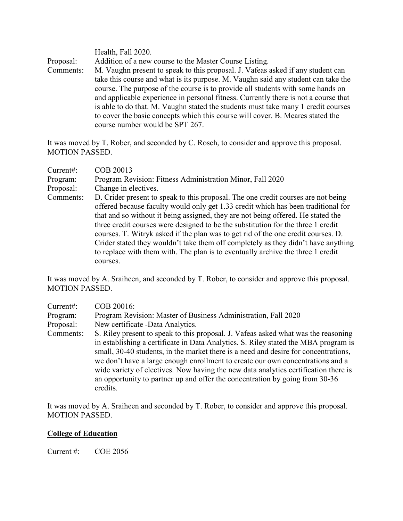Health, Fall 2020. Proposal: Addition of a new course to the Master Course Listing. Comments: M. Vaughn present to speak to this proposal. J. Vafeas asked if any student can take this course and what is its purpose. M. Vaughn said any student can take the course. The purpose of the course is to provide all students with some hands on and applicable experience in personal fitness. Currently there is not a course that is able to do that. M. Vaughn stated the students must take many 1 credit courses to cover the basic concepts which this course will cover. B. Meares stated the course number would be SPT 267.

It was moved by T. Rober, and seconded by C. Rosch, to consider and approve this proposal. MOTION PASSED.

| Current:  | COB 20013                                                                                                                                                                                                                                                                                                                                                                                                                                                                                                                                                                                                               |  |  |
|-----------|-------------------------------------------------------------------------------------------------------------------------------------------------------------------------------------------------------------------------------------------------------------------------------------------------------------------------------------------------------------------------------------------------------------------------------------------------------------------------------------------------------------------------------------------------------------------------------------------------------------------------|--|--|
| Program:  | Program Revision: Fitness Administration Minor, Fall 2020                                                                                                                                                                                                                                                                                                                                                                                                                                                                                                                                                               |  |  |
| Proposal: | Change in electives.                                                                                                                                                                                                                                                                                                                                                                                                                                                                                                                                                                                                    |  |  |
| Comments: | D. Crider present to speak to this proposal. The one credit courses are not being<br>offered because faculty would only get 1.33 credit which has been traditional for<br>that and so without it being assigned, they are not being offered. He stated the<br>three credit courses were designed to be the substitution for the three 1 credit<br>courses. T. Witryk asked if the plan was to get rid of the one credit courses. D.<br>Crider stated they wouldn't take them off completely as they didn't have anything<br>to replace with them with. The plan is to eventually archive the three 1 credit<br>courses. |  |  |

It was moved by A. Sraiheen, and seconded by T. Rober, to consider and approve this proposal. MOTION PASSED.

| Current:  | COB 20016:                                                                                                                                                                                                                                                                                                                                                                                                                                                                                                                            |  |  |
|-----------|---------------------------------------------------------------------------------------------------------------------------------------------------------------------------------------------------------------------------------------------------------------------------------------------------------------------------------------------------------------------------------------------------------------------------------------------------------------------------------------------------------------------------------------|--|--|
| Program:  | Program Revision: Master of Business Administration, Fall 2020                                                                                                                                                                                                                                                                                                                                                                                                                                                                        |  |  |
| Proposal: | New certificate -Data Analytics.                                                                                                                                                                                                                                                                                                                                                                                                                                                                                                      |  |  |
| Comments: | S. Riley present to speak to this proposal. J. Vafeas asked what was the reasoning<br>in establishing a certificate in Data Analytics. S. Riley stated the MBA program is<br>small, 30-40 students, in the market there is a need and desire for concentrations,<br>we don't have a large enough enrollment to create our own concentrations and a<br>wide variety of electives. Now having the new data analytics certification there is<br>an opportunity to partner up and offer the concentration by going from 30-36<br>credits. |  |  |

It was moved by A. Sraiheen and seconded by T. Rober, to consider and approve this proposal. MOTION PASSED.

#### **College of Education**

Current #: COE 2056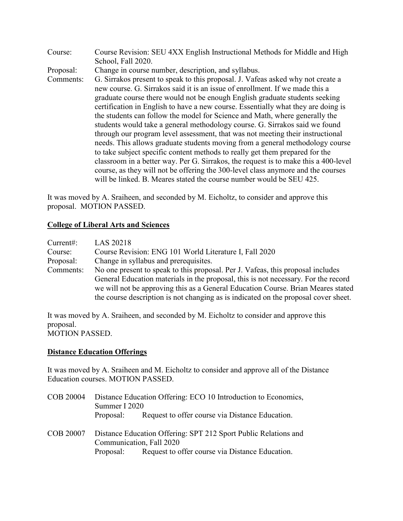| Course:   | Course Revision: SEU 4XX English Instructional Methods for Middle and High          |  |  |  |
|-----------|-------------------------------------------------------------------------------------|--|--|--|
|           | School, Fall 2020.                                                                  |  |  |  |
| Proposal: | Change in course number, description, and syllabus.                                 |  |  |  |
| Comments: | G. Sirrakos present to speak to this proposal. J. Vafeas asked why not create a     |  |  |  |
|           | new course. G. Sirrakos said it is an issue of enrollment. If we made this a        |  |  |  |
|           | graduate course there would not be enough English graduate students seeking         |  |  |  |
|           | certification in English to have a new course. Essentially what they are doing is   |  |  |  |
|           | the students can follow the model for Science and Math, where generally the         |  |  |  |
|           | students would take a general methodology course. G. Sirrakos said we found         |  |  |  |
|           | through our program level assessment, that was not meeting their instructional      |  |  |  |
|           | needs. This allows graduate students moving from a general methodology course       |  |  |  |
|           | to take subject specific content methods to really get them prepared for the        |  |  |  |
|           | classroom in a better way. Per G. Sirrakos, the request is to make this a 400-level |  |  |  |
|           | course, as they will not be offering the 300-level class anymore and the courses    |  |  |  |
|           | will be linked. B. Meares stated the course number would be SEU 425.                |  |  |  |

It was moved by A. Sraiheen, and seconded by M. Eicholtz, to consider and approve this proposal. MOTION PASSED.

# **College of Liberal Arts and Sciences**

| Current:  | LAS 20218                                                                           |  |  |  |
|-----------|-------------------------------------------------------------------------------------|--|--|--|
| Course:   | Course Revision: ENG 101 World Literature I, Fall 2020                              |  |  |  |
| Proposal: | Change in syllabus and prerequisites.                                               |  |  |  |
| Comments: | No one present to speak to this proposal. Per J. Vafeas, this proposal includes     |  |  |  |
|           | General Education materials in the proposal, this is not necessary. For the record  |  |  |  |
|           | we will not be approving this as a General Education Course. Brian Meares stated    |  |  |  |
|           | the course description is not changing as is indicated on the proposal cover sheet. |  |  |  |

It was moved by A. Sraiheen, and seconded by M. Eicholtz to consider and approve this proposal. MOTION PASSED.

# **Distance Education Offerings**

It was moved by A. Sraiheen and M. Eicholtz to consider and approve all of the Distance Education courses. MOTION PASSED.

|  | COB 20004 Distance Education Offering: ECO 10 Introduction to Economics, |                                                 |  |
|--|--------------------------------------------------------------------------|-------------------------------------------------|--|
|  | Summer I 2020                                                            |                                                 |  |
|  | Proposal:                                                                | Request to offer course via Distance Education. |  |

COB 20007 Distance Education Offering: SPT 212 Sport Public Relations and Communication, Fall 2020 Proposal: Request to offer course via Distance Education.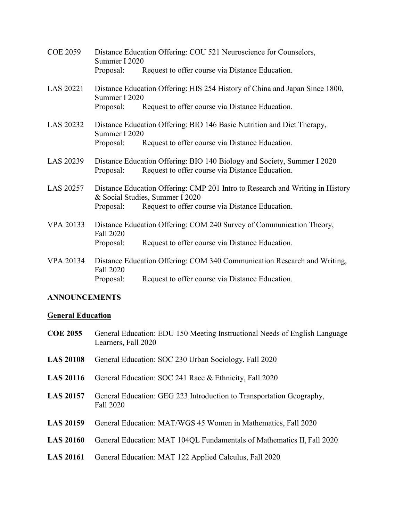| <b>COE 2059</b>  | Distance Education Offering: COU 521 Neuroscience for Counselors,<br>Summer I 2020                               |                                                                                                                            |  |
|------------------|------------------------------------------------------------------------------------------------------------------|----------------------------------------------------------------------------------------------------------------------------|--|
|                  | Proposal:                                                                                                        | Request to offer course via Distance Education.                                                                            |  |
| LAS 20221        | Distance Education Offering: HIS 254 History of China and Japan Since 1800,<br>Summer I 2020                     |                                                                                                                            |  |
|                  | Proposal:                                                                                                        | Request to offer course via Distance Education.                                                                            |  |
| LAS 20232        | Distance Education Offering: BIO 146 Basic Nutrition and Diet Therapy,<br>Summer I 2020                          |                                                                                                                            |  |
|                  | Proposal:                                                                                                        | Request to offer course via Distance Education.                                                                            |  |
| LAS 20239        | Proposal:                                                                                                        | Distance Education Offering: BIO 140 Biology and Society, Summer I 2020<br>Request to offer course via Distance Education. |  |
| LAS 20257        | Distance Education Offering: CMP 201 Intro to Research and Writing in History<br>& Social Studies, Summer I 2020 |                                                                                                                            |  |
|                  | Proposal:                                                                                                        | Request to offer course via Distance Education.                                                                            |  |
| <b>VPA 20133</b> | Distance Education Offering: COM 240 Survey of Communication Theory,<br>Fall 2020                                |                                                                                                                            |  |
|                  | Proposal:                                                                                                        | Request to offer course via Distance Education.                                                                            |  |
| <b>VPA 20134</b> | Distance Education Offering: COM 340 Communication Research and Writing,<br>Fall 2020                            |                                                                                                                            |  |
|                  | Proposal:                                                                                                        | Request to offer course via Distance Education.                                                                            |  |

# **ANNOUNCEMENTS**

# **General Education**

| <b>COE 2055</b> | General Education: EDU 150 Meeting Instructional Needs of English Language |
|-----------------|----------------------------------------------------------------------------|
|                 | Learners, Fall 2020                                                        |

- **LAS 20108** General Education: SOC 230 Urban Sociology, Fall 2020
- LAS 20116 General Education: SOC 241 Race & Ethnicity, Fall 2020
- **LAS 20157** General Education: GEG 223 Introduction to Transportation Geography, Fall 2020
- **LAS 20159** General Education: MAT/WGS 45 Women in Mathematics, Fall 2020
- **LAS 20160** General Education: MAT 104QL Fundamentals of Mathematics II, Fall 2020
- **LAS 20161** General Education: MAT 122 Applied Calculus, Fall 2020